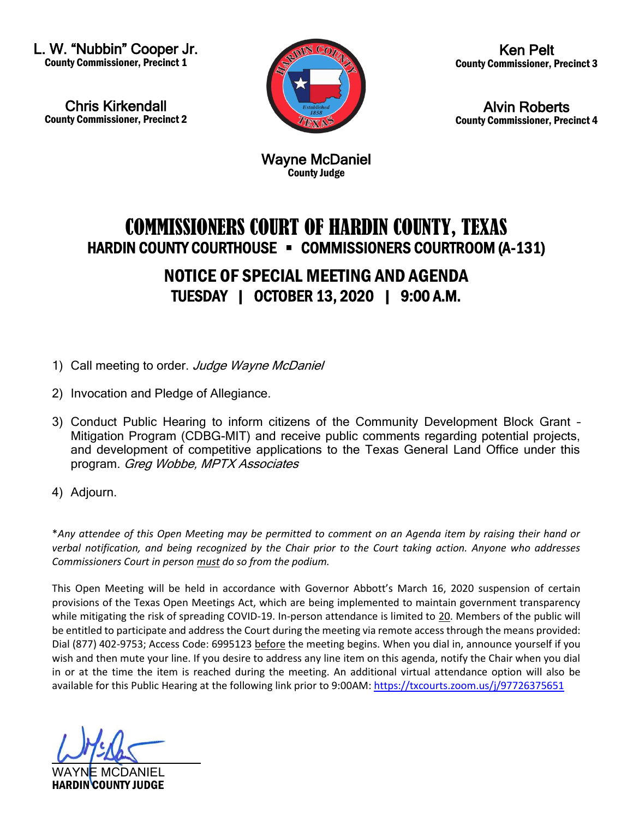L. W. "Nubbin" Cooper Jr. County Commissioner, Precinct 1

Chris Kirkendall County Commissioner, Precinct 2



Ken Pelt County Commissioner, Precinct 3

Alvin Roberts County Commissioner, Precinct 4

Wayne McDaniel County Judge

## COMMISSIONERS COURT OF HARDIN COUNTY, TEXAS HARDIN COUNTY COURTHOUSE - COMMISSIONERS COURTROOM (A-131) NOTICE OF SPECIAL MEETING AND AGENDA TUESDAY | OCTOBER 13, 2020 | 9:00 A.M.

- 1) Call meeting to order. Judge Wayne McDaniel
- 2) Invocation and Pledge of Allegiance.
- 3) Conduct Public Hearing to inform citizens of the Community Development Block Grant Mitigation Program (CDBG-MIT) and receive public comments regarding potential projects, and development of competitive applications to the Texas General Land Office under this program. Greg Wobbe, MPTX Associates
- 4) Adjourn.

\**Any attendee of this Open Meeting may be permitted to comment on an Agenda item by raising their hand or verbal notification, and being recognized by the Chair prior to the Court taking action. Anyone who addresses Commissioners Court in person must do so from the podium.*

This Open Meeting will be held in accordance with Governor Abbott's March 16, 2020 suspension of certain provisions of the Texas Open Meetings Act, which are being implemented to maintain government transparency while mitigating the risk of spreading COVID-19. In-person attendance is limited to 20. Members of the public will be entitled to participate and address the Court during the meeting via remote access through the means provided: Dial (877) 402-9753; Access Code: 6995123 before the meeting begins. When you dial in, announce yourself if you wish and then mute your line. If you desire to address any line item on this agenda, notify the Chair when you dial in or at the time the item is reached during the meeting. An additional virtual attendance option will also be available for this Public Hearing at the following link prior to 9:00AM[: https://txcourts.zoom.us/j/97726375651](https://txcourts.zoom.us/j/97726375651)

WAYNE MCDANIEL HARDIN COUNTY JUDGE